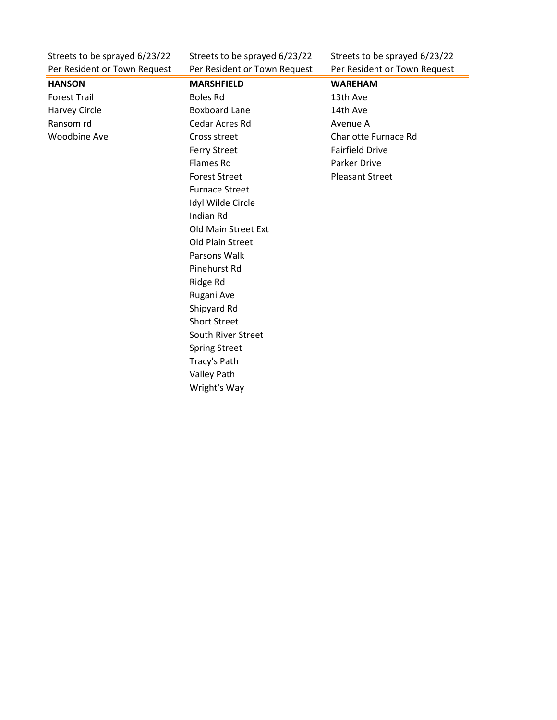Per Resident or Town Request Per Resident or Town Request Per Resident or Town Request

Streets to be sprayed 6/23/22 Streets to be sprayed 6/23/22 Streets to be sprayed 6/23/22

| rer nesident or rown nequest | <b>I CI RESIGNITE OF TOWIT REQUEST</b> | <b>I</b> CHINGSIQUITE OF TOWIT REQUEST |
|------------------------------|----------------------------------------|----------------------------------------|
| <b>HANSON</b>                | <b>MARSHFIELD</b>                      | <b>WAREHAM</b>                         |
| <b>Forest Trail</b>          | <b>Boles Rd</b>                        | 13th Ave                               |
| Harvey Circle                | <b>Boxboard Lane</b>                   | 14th Ave                               |
| Ransom rd                    | Cedar Acres Rd                         | Avenue A                               |
| <b>Woodbine Ave</b>          | Cross street                           | Charlotte Furnace Rd                   |
|                              | <b>Ferry Street</b>                    | <b>Fairfield Drive</b>                 |
|                              | Flames Rd                              | Parker Drive                           |
|                              | <b>Forest Street</b>                   | <b>Pleasant Street</b>                 |
|                              | <b>Furnace Street</b>                  |                                        |
|                              | Idyl Wilde Circle                      |                                        |
|                              | Indian Rd                              |                                        |
|                              | Old Main Street Ext                    |                                        |
|                              | Old Plain Street                       |                                        |
|                              | Parsons Walk                           |                                        |
|                              | Pinehurst Rd                           |                                        |
|                              | Ridge Rd                               |                                        |
|                              | Rugani Ave                             |                                        |
|                              | Shipyard Rd                            |                                        |
|                              | <b>Short Street</b>                    |                                        |
|                              | South River Street                     |                                        |
|                              | <b>Spring Street</b>                   |                                        |
|                              | Tracy's Path                           |                                        |
|                              | Valley Path                            |                                        |
|                              | Wright's Way                           |                                        |
|                              |                                        |                                        |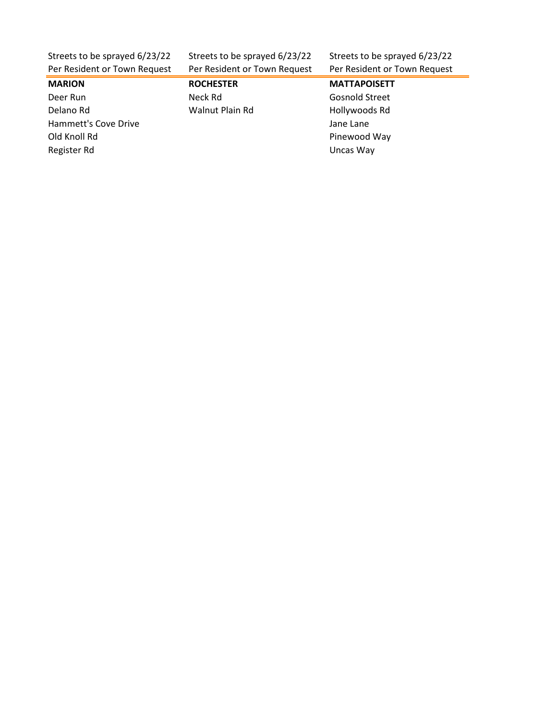| Streets to be sprayed 6/23/22 | Streets to be sprayed 6/23/22 | Streets to be sprayed 6/23/22 |
|-------------------------------|-------------------------------|-------------------------------|
| Per Resident or Town Request  | Per Resident or Town Request  | Per Resident or Town Request  |

**MARION ROCHESTER MATTAPOISETT** Deer Run Neck Rd Gosnold Street Delano Rd **Walnut Plain Rd** Hollywoods Rd Hammett's Cove Drive **Access 12 and 20 and 20 and 20 and 20 and 20 and 20 and 20 and 20 and 20 and 30 and 30 and 40 and 40 and 40 and 40 and 40 and 40 and 40 and 40 and 40 and 40 and 40 and 40 and 40 and 40 and 40 and 40 a** Old Knoll Rd Pinewood Way Register Rd **National Community Community** Changes are a structured by Discussion Changes and Discussion Changes and Discussion Changes are a structured by Discussion Changes and Discussion Changes are a structured by Disc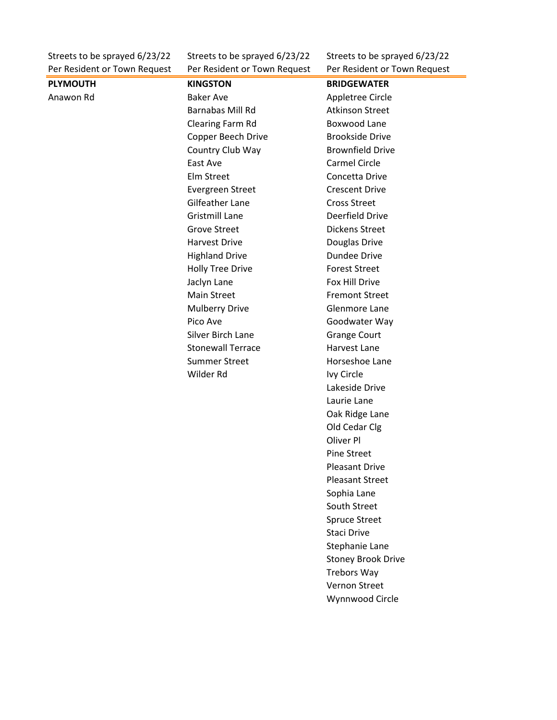Per Resident or Town Request Per Resident or Town Request Per Resident or Town Request

Streets to be sprayed 6/23/22 Streets to be sprayed 6/23/22 Streets to be sprayed 6/23/22

| <b>PLYMOUTH</b> | <b>KINGSTON</b>          | <b>BRIDGEWATER</b>        |
|-----------------|--------------------------|---------------------------|
| Anawon Rd       | <b>Baker Ave</b>         | Appletree Circle          |
|                 | Barnabas Mill Rd         | <b>Atkinson Street</b>    |
|                 | Clearing Farm Rd         | Boxwood Lane              |
|                 | Copper Beech Drive       | <b>Brookside Drive</b>    |
|                 | Country Club Way         | <b>Brownfield Drive</b>   |
|                 | East Ave                 | Carmel Circle             |
|                 | Elm Street               | Concetta Drive            |
|                 | Evergreen Street         | <b>Crescent Drive</b>     |
|                 | <b>Gilfeather Lane</b>   | <b>Cross Street</b>       |
|                 | <b>Gristmill Lane</b>    | Deerfield Drive           |
|                 | <b>Grove Street</b>      | <b>Dickens Street</b>     |
|                 | <b>Harvest Drive</b>     | Douglas Drive             |
|                 | <b>Highland Drive</b>    | <b>Dundee Drive</b>       |
|                 | <b>Holly Tree Drive</b>  | <b>Forest Street</b>      |
|                 | Jaclyn Lane              | Fox Hill Drive            |
|                 | <b>Main Street</b>       | <b>Fremont Street</b>     |
|                 | <b>Mulberry Drive</b>    | Glenmore Lane             |
|                 | Pico Ave                 | Goodwater Way             |
|                 | Silver Birch Lane        | <b>Grange Court</b>       |
|                 | <b>Stonewall Terrace</b> | Harvest Lane              |
|                 | <b>Summer Street</b>     | Horseshoe Lane            |
|                 | Wilder Rd                | Ivy Circle                |
|                 |                          | Lakeside Drive            |
|                 |                          | Laurie Lane               |
|                 |                          | Oak Ridge Lane            |
|                 |                          | Old Cedar Clg             |
|                 |                          | Oliver Pl                 |
|                 |                          | <b>Pine Street</b>        |
|                 |                          | <b>Pleasant Drive</b>     |
|                 |                          | <b>Pleasant Street</b>    |
|                 |                          | Sophia Lane               |
|                 |                          | South Street              |
|                 |                          | <b>Spruce Street</b>      |
|                 |                          | <b>Staci Drive</b>        |
|                 |                          | Stephanie Lane            |
|                 |                          | <b>Stoney Brook Drive</b> |
|                 |                          | <b>Trebors Way</b>        |
|                 |                          | Vernon Street             |
|                 |                          | Wynnwood Circle           |
|                 |                          |                           |
|                 |                          |                           |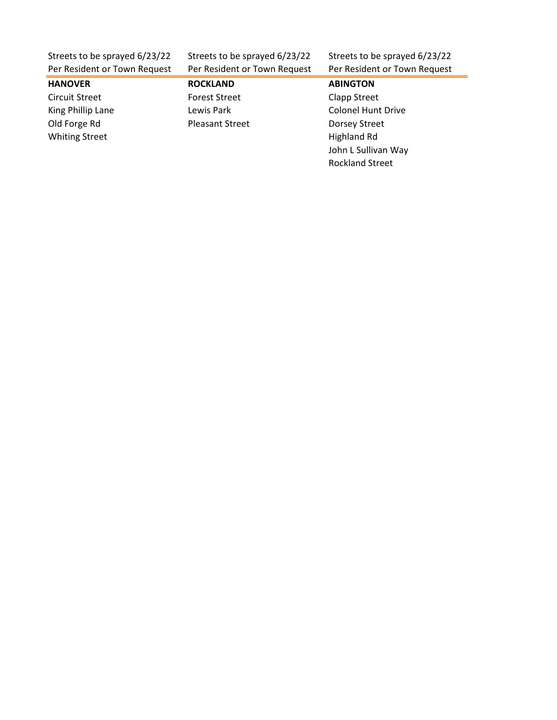| Streets to be sprayed 6/23/22 |  |  |
|-------------------------------|--|--|
| Per Resident or Town Request  |  |  |

Per Resident or Town Request Per Resident or Town Request

Streets to be sprayed 6/23/22 Streets to be sprayed 6/23/22

## **HANOVER ROCKLAND ABINGTON** Circuit Street **Forest Street** Clapp Street King Phillip Lane **Lewis Park** Colonel Hunt Drive Old Forge Rd **Pleasant Street** Dorsey Street Whiting Street **Highland Rd Highland Rd**

John L Sullivan Way Rockland Street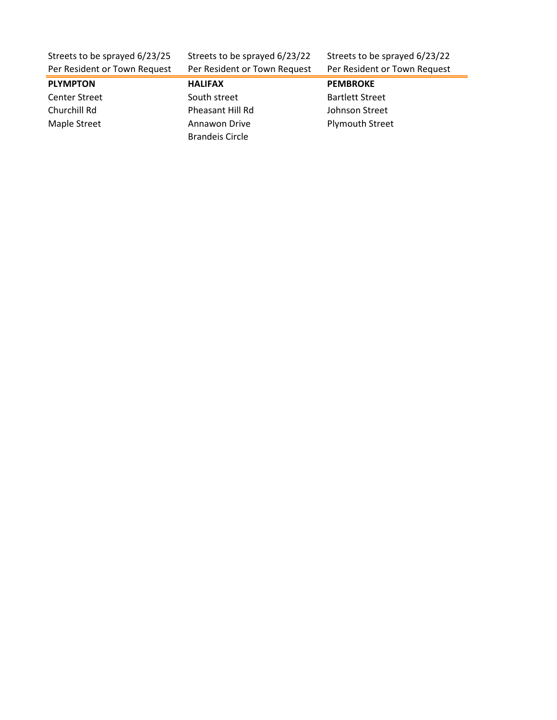Streets to be sprayed 6/23/25 Streets to be sprayed 6/23/22 Streets to be sprayed 6/23/22

| Per Resident or Town Request | Per Resident or Town Request | Per Resident or Town Request |
|------------------------------|------------------------------|------------------------------|
| <b>PLYMPTON</b>              | <b>HALIFAX</b>               | <b>PEMBROKE</b>              |
| <b>Center Street</b>         | South street                 | <b>Bartlett Street</b>       |
| Churchill Rd                 | Pheasant Hill Rd             | Johnson Street               |
| Maple Street                 | Annawon Drive                | <b>Plymouth Street</b>       |
|                              | <b>Brandeis Circle</b>       |                              |